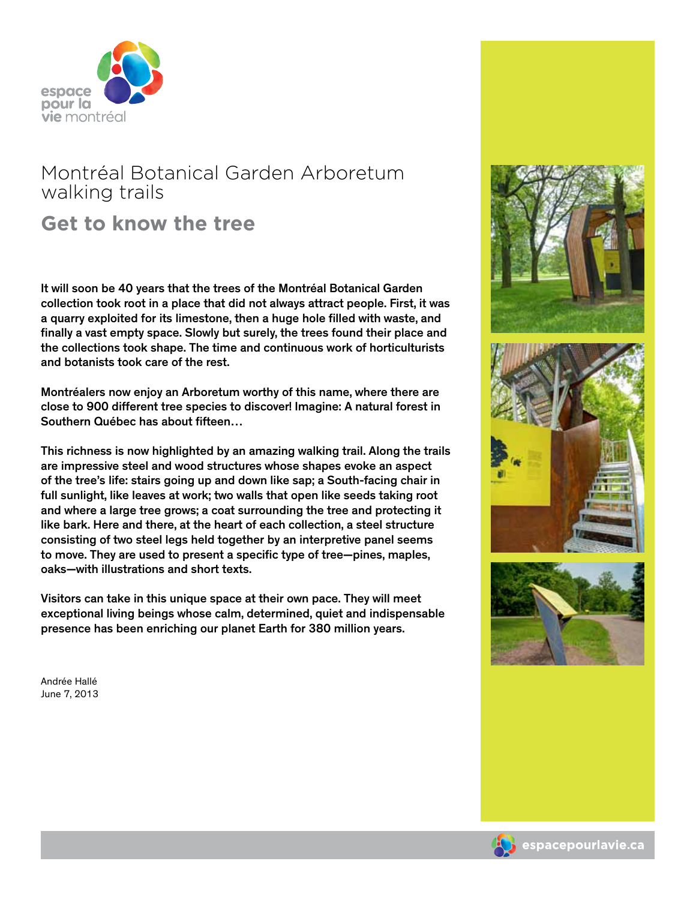

# Montréal Botanical Garden Arboretum walking trails

#### **Get to know the tree**

It will soon be 40 years that the trees of the Montréal Botanical Garden collection took root in a place that did not always attract people. First, it was a quarry exploited for its limestone, then a huge hole filled with waste, and finally a vast empty space. Slowly but surely, the trees found their place and the collections took shape. The time and continuous work of horticulturists and botanists took care of the rest.

Montréalers now enjoy an Arboretum worthy of this name, where there are close to 900 different tree species to discover! Imagine: A natural forest in Southern Québec has about fifteen…

This richness is now highlighted by an amazing walking trail. Along the trails are impressive steel and wood structures whose shapes evoke an aspect of the tree's life: stairs going up and down like sap; a South-facing chair in full sunlight, like leaves at work; two walls that open like seeds taking root and where a large tree grows; a coat surrounding the tree and protecting it like bark. Here and there, at the heart of each collection, a steel structure consisting of two steel legs held together by an interpretive panel seems to move. They are used to present a specific type of tree—pines, maples, oaks—with illustrations and short texts.

Visitors can take in this unique space at their own pace. They will meet exceptional living beings whose calm, determined, quiet and indispensable presence has been enriching our planet Earth for 380 million years.

Andrée Hallé June 7, 2013



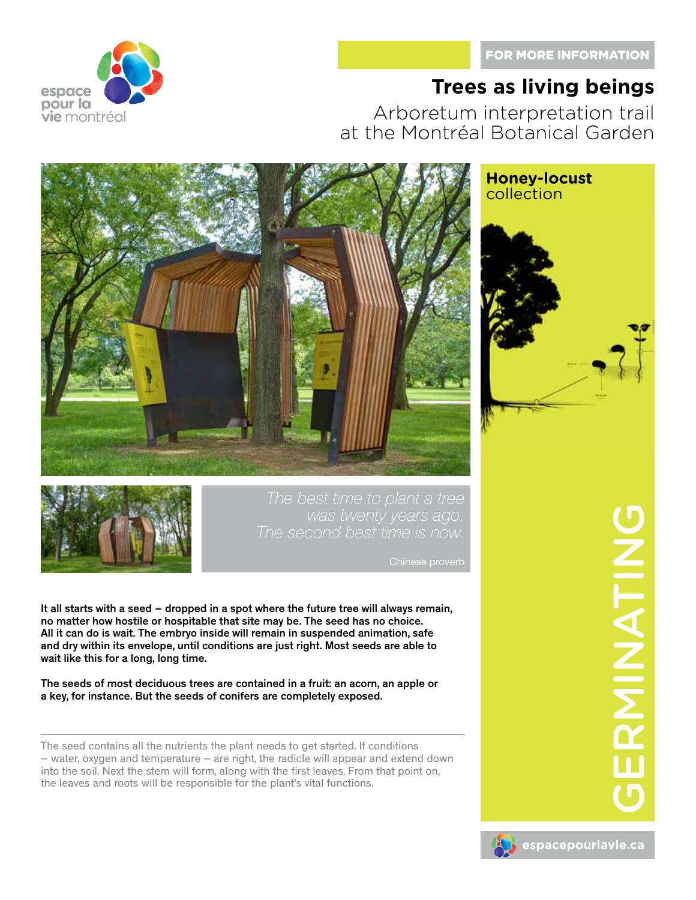Arboretum interpretation trail at the Montréal Botanical Garden





espace pour la vie montréal

*The second best time is now.* 

It all starts with a seed – dropped in a spot where the future tree will always remain, no matter how hostile or hospitable that site may be. The seed has no choice. All it can do is wait. The embryo inside will remain in suspended animation, safe and dry within its envelope, until conditions are just right. Most seeds are able to wait like this for a long, long time.

The seeds of most deciduous trees are contained in a fruit: an acorn, an apple or a key, for instance. But the seeds of conifers are completely exposed.

The seed contains all the nutrients the plant needs to get started. If conditions – water, oxygen and temperature – are right, the radicle will appear and extend down into the soil. Next the stem will form, along with the first leaves. From that point on, the leaves and roots will be responsible for the plant's vital functions.

**Honey-locust** 





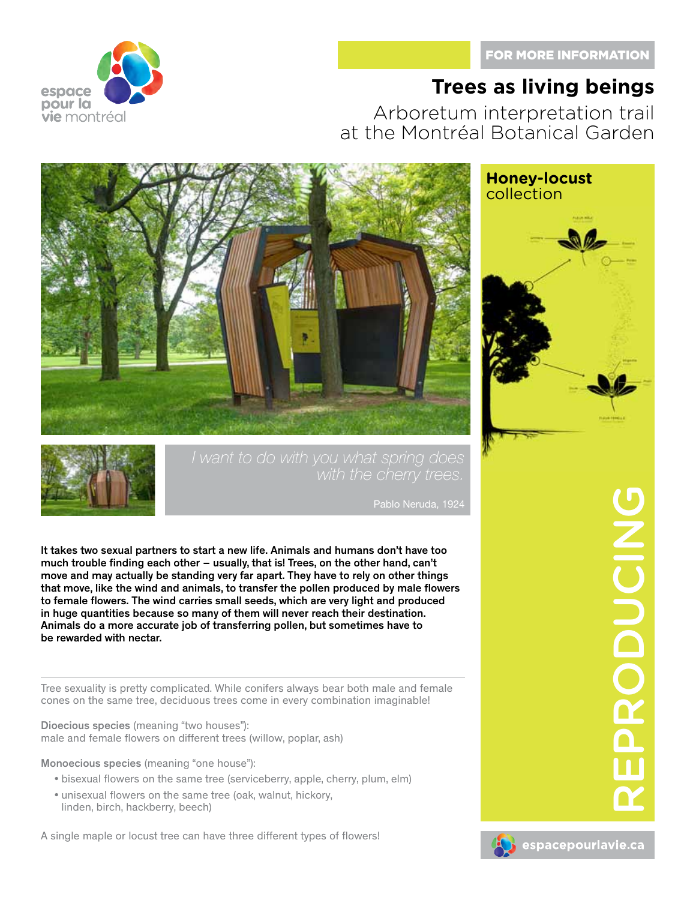Arboretum interpretation trail at the Montréal Botanical Garden





It takes two sexual partners to start a new life. Animals and humans don't have too much trouble finding each other – usually, that is! Trees, on the other hand, can't move and may actually be standing very far apart. They have to rely on other things that move, like the wind and animals, to transfer the pollen produced by male flowers to female flowers. The wind carries small seeds, which are very light and produced in huge quantities because so many of them will never reach their destination. Animals do a more accurate job of transferring pollen, but sometimes have to be rewarded with nectar.

Tree sexuality is pretty complicated. While conifers always bear both male and female cones on the same tree, deciduous trees come in every combination imaginable!

Dioecious species (meaning "two houses"): male and female flowers on different trees (willow, poplar, ash)

Monoecious species (meaning "one house"):

- bisexual flowers on the same tree (serviceberry, apple, cherry, plum, elm)
- unisexual flowers on the same tree (oak, walnut, hickory, linden, birch, hackberry, beech)

A single maple or locust tree can have three different types of flowers!





REPRODUCING

EPRODUCING

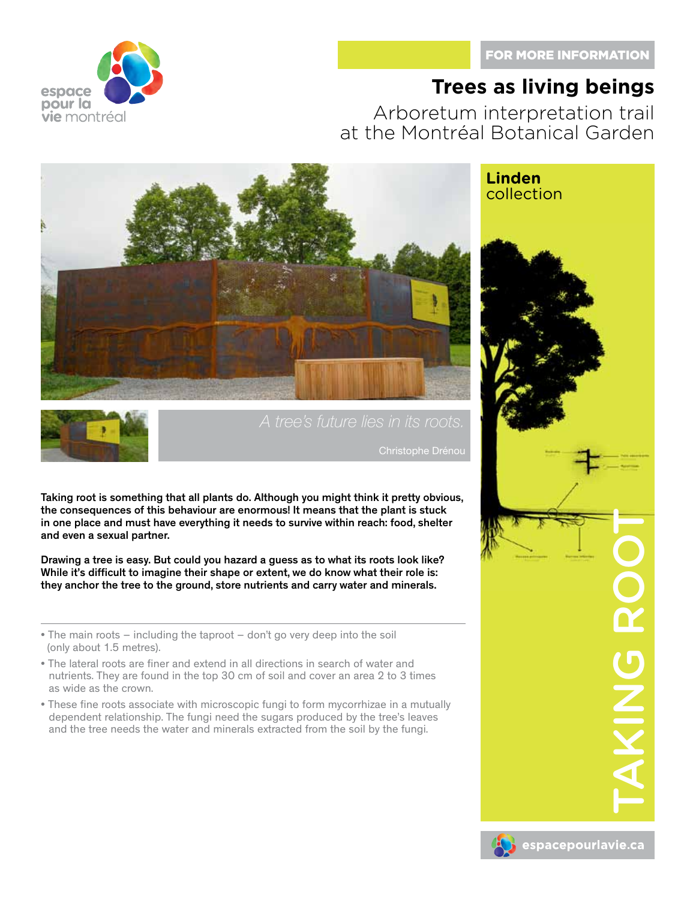Arboretum interpretation trail at the Montréal Botanical Garden





Christophe Drénou

Taking root is something that all plants do. Although you might think it pretty obvious, the consequences of this behaviour are enormous! It means that the plant is stuck in one place and must have everything it needs to survive within reach: food, shelter and even a sexual partner.

Drawing a tree is easy. But could you hazard a guess as to what its roots look like? While it's difficult to imagine their shape or extent, we do know what their role is: they anchor the tree to the ground, store nutrients and carry water and minerals.

- The main roots including the taproot don't go very deep into the soil (only about 1.5 metres).
- The lateral roots are finer and extend in all directions in search of water and nutrients. They are found in the top 30 cm of soil and cover an area 2 to 3 times as wide as the crown.
- These fine roots associate with microscopic fungi to form mycorrhizae in a mutually dependent relationship. The fungi need the sugars produced by the tree's leaves and the tree needs the water and minerals extracted from the soil by the fungi.





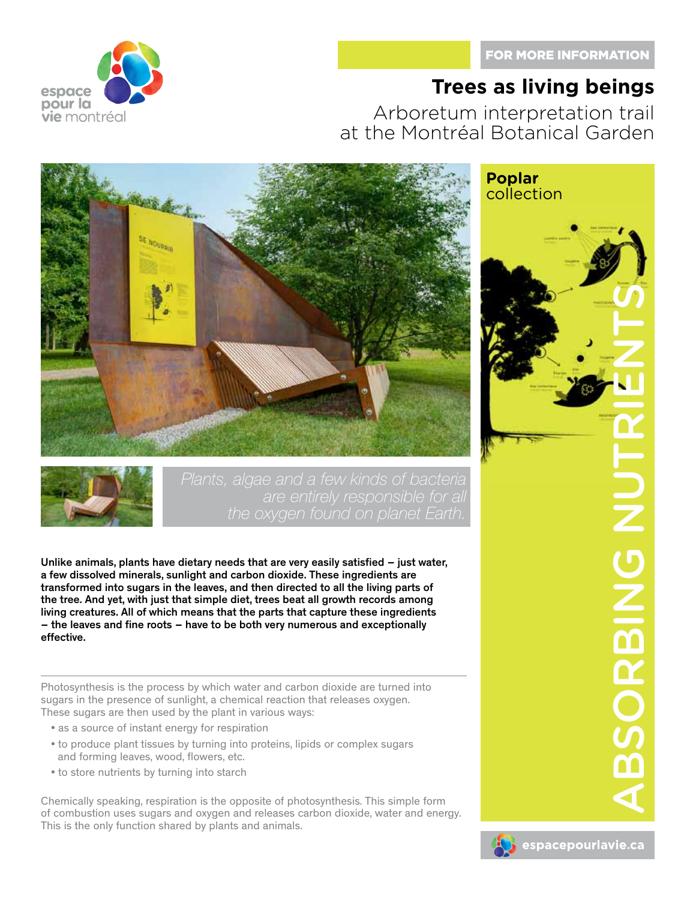# espace pour la vie montréal

# **Trees as living beings**

Arboretum interpretation trail at the Montréal Botanical Garden





Unlike animals, plants have dietary needs that are very easily satisfied – just water, a few dissolved minerals, sunlight and carbon dioxide. These ingredients are transformed into sugars in the leaves, and then directed to all the living parts of the tree. And yet, with just that simple diet, trees beat all growth records among living creatures. All of which means that the parts that capture these ingredients – the leaves and fine roots – have to be both very numerous and exceptionally effective.

Photosynthesis is the process by which water and carbon dioxide are turned into sugars in the presence of sunlight, a chemical reaction that releases oxygen. These sugars are then used by the plant in various ways:

- as a source of instant energy for respiration
- to produce plant tissues by turning into proteins, lipids or complex sugars and forming leaves, wood, flowers, etc.
- to store nutrients by turning into starch

Chemically speaking, respiration is the opposite of photosynthesis. This simple form of combustion uses sugars and oxygen and releases carbon dioxide, water and energy. This is the only function shared by plants and animals.



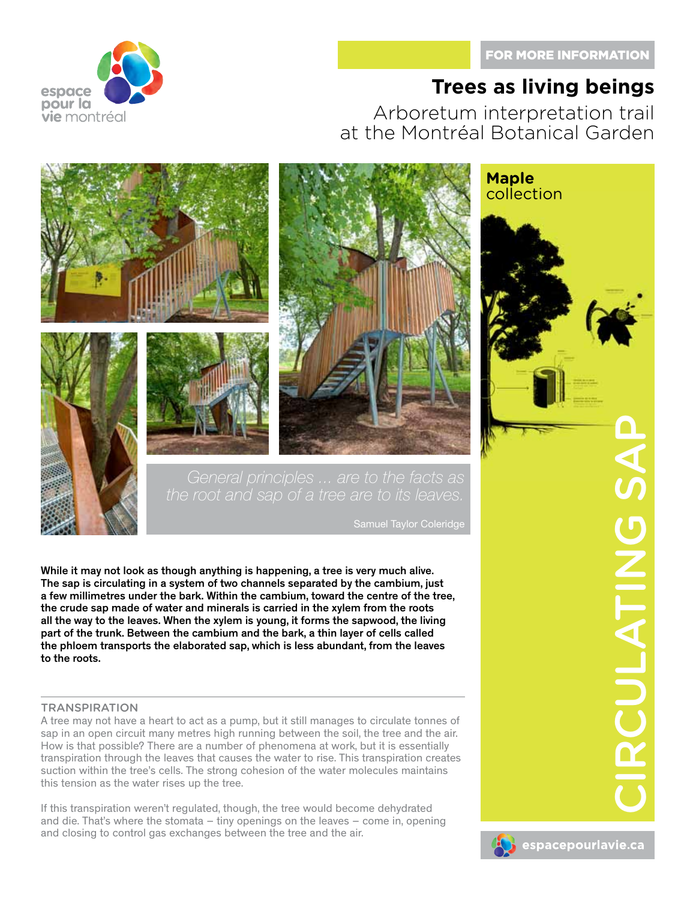Arboretum interpretation trail at the Montréal Botanical Garden



While it may not look as though anything is happening, a tree is very much alive. The sap is circulating in a system of two channels separated by the cambium, just a few millimetres under the bark. Within the cambium, toward the centre of the tree, the crude sap made of water and minerals is carried in the xylem from the roots all the way to the leaves. When the xylem is young, it forms the sapwood, the living part of the trunk. Between the cambium and the bark, a thin layer of cells called the phloem transports the elaborated sap, which is less abundant, from the leaves to the roots.

#### **TRANSPIRATION**

A tree may not have a heart to act as a pump, but it still manages to circulate tonnes of sap in an open circuit many metres high running between the soil, the tree and the air. How is that possible? There are a number of phenomena at work, but it is essentially transpiration through the leaves that causes the water to rise. This transpiration creates suction within the tree's cells. The strong cohesion of the water molecules maintains this tension as the water rises up the tree.

If this transpiration weren't regulated, though, the tree would become dehydrated and die. That's where the stomata – tiny openings on the leaves – come in, opening and closing to control gas exchanges between the tree and the air.



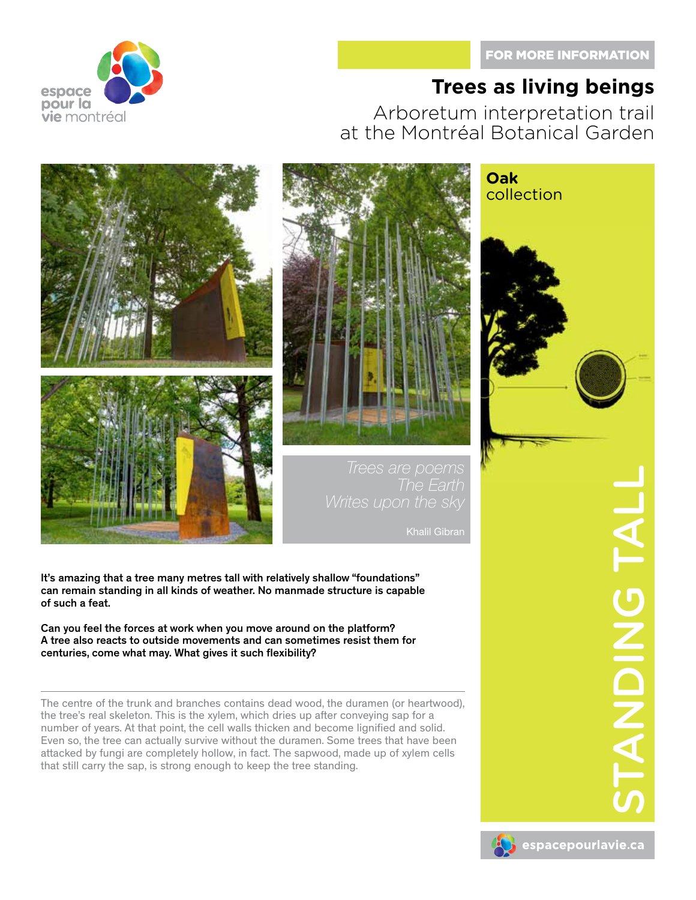Arboretum interpretation trail at the Montréal Botanical Garden

**Oak** 

collection





It's amazing that a tree many metres tall with relatively shallow "foundations" can remain standing in all kinds of weather. No manmade structure is capable of such a feat.

Can you feel the forces at work when you move around on the platform? A tree also reacts to outside movements and can sometimes resist them for centuries, come what may. What gives it such flexibility?

The centre of the trunk and branches contains dead wood, the duramen (or heartwood), the tree's real skeleton. This is the xylem, which dries up after conveying sap for a number of years. At that point, the cell walls thicken and become lignified and solid. Even so, the tree can actually survive without the duramen. Some trees that have been attacked by fungi are completely hollow, in fact. The sapwood, made up of xylem cells that still carry the sap, is strong enough to keep the tree standing.





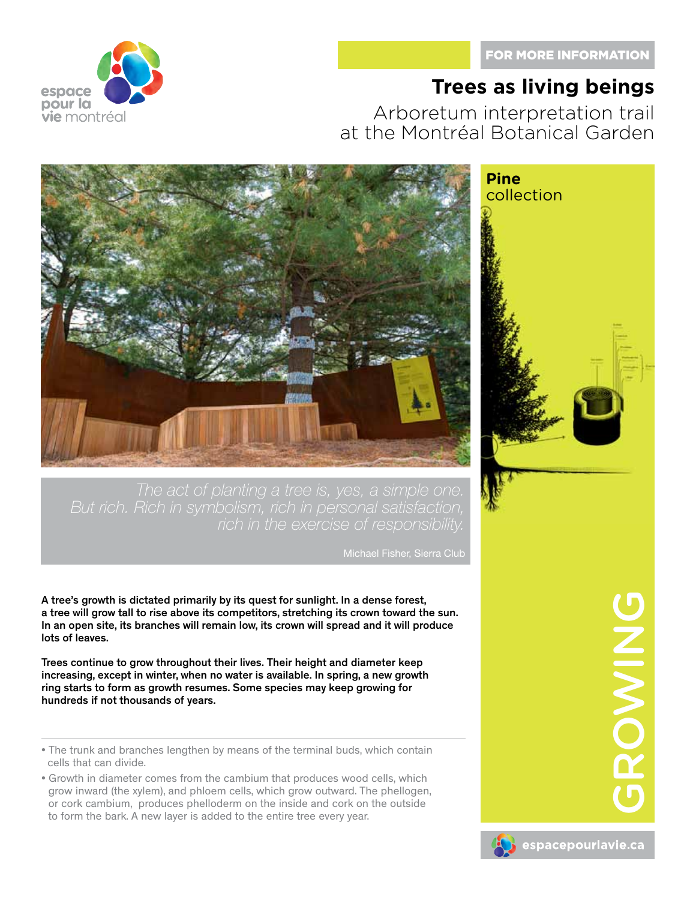Arboretum interpretation trail at the Montréal Botanical Garden

**Pine** 

collection



*rich in the exercise of responsibility.* 

A tree's growth is dictated primarily by its quest for sunlight. In a dense forest, a tree will grow tall to rise above its competitors, stretching its crown toward the sun. In an open site, its branches will remain low, its crown will spread and it will produce lots of leaves.

Trees continue to grow throughout their lives. Their height and diameter keep increasing, except in winter, when no water is available. In spring, a new growth ring starts to form as growth resumes. Some species may keep growing for hundreds if not thousands of years.

• Growth in diameter comes from the cambium that produces wood cells, which grow inward (the xylem), and phloem cells, which grow outward. The phellogen, or cork cambium, produces phelloderm on the inside and cork on the outside to form the bark. A new layer is added to the entire tree every year.

GROWING **GROWING** 





<sup>•</sup> The trunk and branches lengthen by means of the terminal buds, which contain cells that can divide.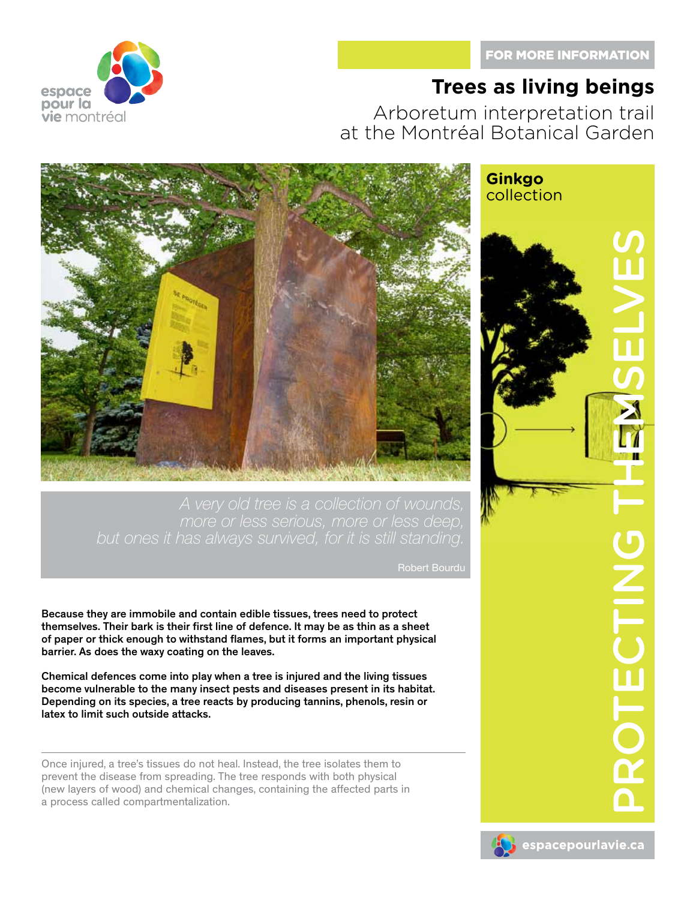Arboretum interpretation trail at the Montréal Botanical Garden



Because they are immobile and contain edible tissues, trees need to protect themselves. Their bark is their first line of defence. It may be as thin as a sheet of paper or thick enough to withstand flames, but it forms an important physical barrier. As does the waxy coating on the leaves.

Chemical defences come into play when a tree is injured and the living tissues become vulnerable to the many insect pests and diseases present in its habitat. Depending on its species, a tree reacts by producing tannins, phenols, resin or latex to limit such outside attacks.

Once injured, a tree's tissues do not heal. Instead, the tree isolates them to prevent the disease from spreading. The tree responds with both physical (new layers of wood) and chemical changes, containing the affected parts in a process called compartmentalization.